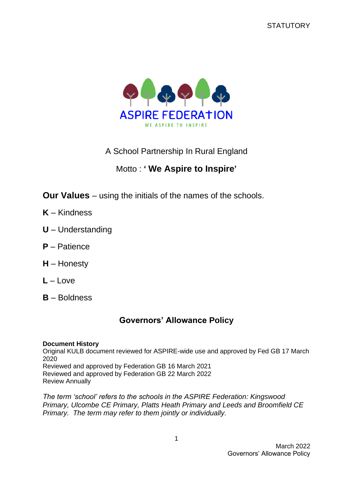

A School Partnership In Rural England

# Motto : **' We Aspire to Inspire'**

**Our Values** – using the initials of the names of the schools.

- **K** Kindness
- **U** Understanding
- **P** Patience
- **H** Honesty
- **L** Love
- **B** Boldness

## **Governors' Allowance Policy**

#### **Document History**

Original KULB document reviewed for ASPIRE-wide use and approved by Fed GB 17 March 2020 Reviewed and approved by Federation GB 16 March 2021

Reviewed and approved by Federation GB 22 March 2022 Review Annually

*The term 'school' refers to the schools in the ASPIRE Federation: Kingswood Primary, Ulcombe CE Primary, Platts Heath Primary and Leeds and Broomfield CE Primary. The term may refer to them jointly or individually.*

> March 2022 Governors' Allowance Policy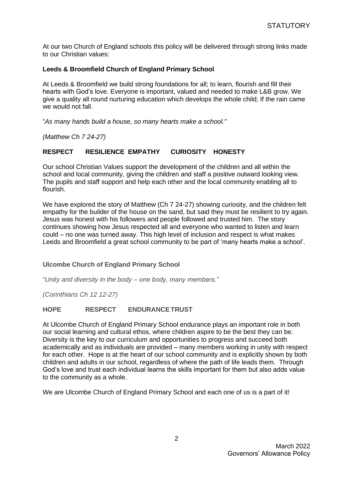At our two Church of England schools this policy will be delivered through strong links made to our Christian values:

#### **Leeds & Broomfield Church of England Primary School**

At Leeds & Broomfield we build strong foundations for all; to learn, flourish and fill their hearts with God's love. Everyone is important, valued and needed to make L&B grow. We give a quality all round nurturing education which develops the whole child; If the rain came we would not fall.

"*As many hands build a house, so many hearts make a school."*

*(Matthew Ch 7 24-27)*

#### **RESPECT RESILIENCE EMPATHY CURIOSITY HONESTY**

Our school Christian Values support the development of the children and all within the school and local community, giving the children and staff a positive outward looking view. The pupils and staff support and help each other and the local community enabling all to flourish.

We have explored the story of Matthew (Ch 7 24-27) showing curiosity, and the children felt empathy for the builder of the house on the sand, but said they must be resilient to try again. Jesus was honest with his followers and people followed and trusted him. The story continues showing how Jesus respected all and everyone who wanted to listen and learn could – no one was turned away. This high level of inclusion and respect is what makes Leeds and Broomfield a great school community to be part of 'many hearts make a school'.

#### **Ulcombe Church of England Primary School**

"*Unity and diversity in the body – one body, many members."*

*(Corinthians Ch 12 12-27)*

#### **HOPE RESPECT ENDURANCETRUST**

At Ulcombe Church of England Primary School endurance plays an important role in both our social learning and cultural ethos, where children aspire to be the best they can be. Diversity is the key to our curriculum and opportunities to progress and succeed both academically and as individuals are provided – many members working in unity with respect for each other. Hope is at the heart of our school community and is explicitly shown by both children and adults in our school, regardless of where the path of life leads them. Through God's love and trust each individual learns the skills important for them but also adds value to the community as a whole.

We are Ulcombe Church of England Primary School and each one of us is a part of it!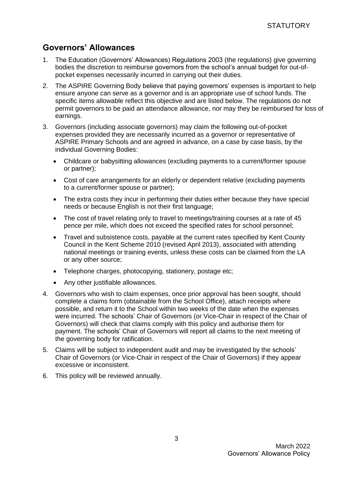### **Governors' Allowances**

- 1. The Education (Governors' Allowances) Regulations 2003 (the regulations) give governing bodies the discretion to reimburse governors from the school's annual budget for out-ofpocket expenses necessarily incurred in carrying out their duties.
- 2. The ASPIRE Governing Body believe that paying governors' expenses is important to help ensure anyone can serve as a governor and is an appropriate use of school funds. The specific items allowable reflect this objective and are listed below. The regulations do not permit governors to be paid an attendance allowance, nor may they be reimbursed for loss of earnings.
- 3. Governors (including associate governors) may claim the following out-of-pocket expenses provided they are necessarily incurred as a governor or representative of ASPIRE Primary Schools and are agreed in advance, on a case by case basis, by the individual Governing Bodies:
	- Childcare or babysitting allowances (excluding payments to a current/former spouse or partner);
	- Cost of care arrangements for an elderly or dependent relative (excluding payments to a current/former spouse or partner);
	- The extra costs they incur in performing their duties either because they have special needs or because English is not their first language;
	- The cost of travel relating only to travel to meetings/training courses at a rate of 45 pence per mile, which does not exceed the specified rates for school personnel;
	- Travel and subsistence costs, payable at the current rates specified by Kent County Council in the Kent Scheme 2010 (revised April 2013), associated with attending national meetings or training events, unless these costs can be claimed from the LA or any other source;
	- Telephone charges, photocopying, stationery, postage etc;
	- Any other justifiable allowances.
- 4. Governors who wish to claim expenses, once prior approval has been sought, should complete a claims form (obtainable from the School Office), attach receipts where possible, and return it to the School within two weeks of the date when the expenses were incurred. The schools' Chair of Governors (or Vice-Chair in respect of the Chair of Governors) will check that claims comply with this policy and authorise them for payment. The schools' Chair of Governors will report all claims to the next meeting of the governing body for ratification.
- 5. Claims will be subject to independent audit and may be investigated by the schools' Chair of Governors (or Vice-Chair in respect of the Chair of Governors) if they appear excessive or inconsistent.
- 6. This policy will be reviewed annually.